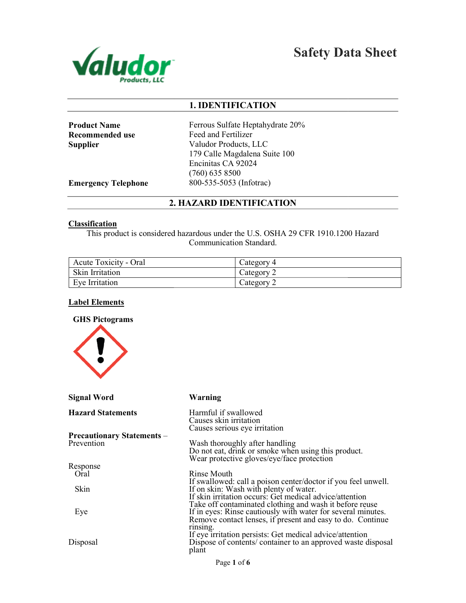

Safety Data Sheet

# 1. IDENTIFICATION

Product Name Recommended use **Supplier** 

Ferrous Sulfate Heptahydrate 20% Feed and Fertilizer Valudor Products, LLC 179 Calle Magdalena Suite 100 Encinitas CA 92024 (760) 635 8500 800-535-5053 (Infotrac)

Emergency Telephone

# 2. HAZARD IDENTIFICATION

#### **Classification**

This product is considered hazardous under the U.S. OSHA 29 CFR 1910.1200 Hazard Communication Standard.

| <b>Acute Toxicity - Oral</b> | Category 4 |
|------------------------------|------------|
| Skin Irritation              | Category 2 |
| Eve Irritation               | Category 2 |

## Label Elements



| Signal Word                       | Warning                                                                                                                                                                               |
|-----------------------------------|---------------------------------------------------------------------------------------------------------------------------------------------------------------------------------------|
| <b>Hazard Statements</b>          | Harmful if swallowed<br>Causes skin irritation<br>Causes serious eye irritation                                                                                                       |
| <b>Precautionary Statements –</b> |                                                                                                                                                                                       |
| Prevention                        | Wash thoroughly after handling<br>Do not eat, drink or smoke when using this product.<br>Wear protective gloves/eye/face protection                                                   |
| Response                          |                                                                                                                                                                                       |
| Oral                              | Rinse Mouth                                                                                                                                                                           |
| <b>Skin</b>                       | If swallowed: call a poison center/doctor if you feel unwell.<br>If on skin: Wash with plenty of water.<br>If skin irritation occurs: Get medical advice/attention                    |
| Eye                               | Take off contaminated clothing and wash it before reuse<br>If in eyes: Rinse cautiously with water for several minutes.<br>Remove contact lenses, if present and easy to do. Continue |
| Disposal                          | rinsing.<br>If eye irritation persists: Get medical advice/attention<br>Dispose of contents/ container to an approved waste disposal<br>plant                                         |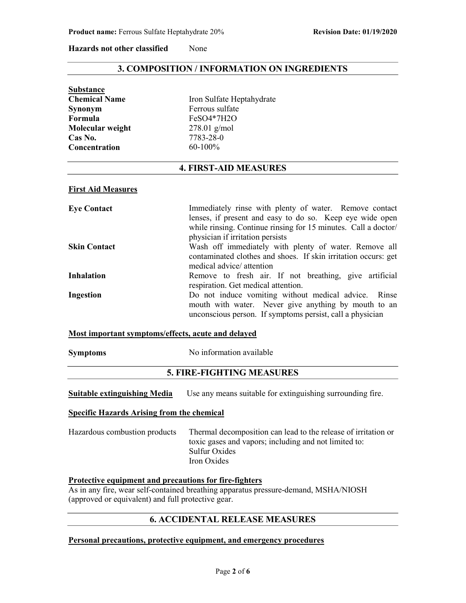#### Hazards not other classified None

# 3. COMPOSITION / INFORMATION ON INGREDIENTS

| <b>Substance</b>     |                           |
|----------------------|---------------------------|
| <b>Chemical Name</b> | Iron Sulfate Heptahydrate |
| Synonym              | Ferrous sulfate           |
| Formula              | FeSO4*7H2O                |
| Molecular weight     | $278.01$ g/mol            |
| Cas No.              | 7783-28-0                 |
| <b>Concentration</b> | $60-100\%$                |

# 4. FIRST-AID MEASURES

#### First Aid Measures

| <b>Eye Contact</b>  | Immediately rinse with plenty of water. Remove contact         |
|---------------------|----------------------------------------------------------------|
|                     | lenses, if present and easy to do so. Keep eye wide open       |
|                     | while rinsing. Continue rinsing for 15 minutes. Call a doctor/ |
|                     | physician if irritation persists                               |
| <b>Skin Contact</b> | Wash off immediately with plenty of water. Remove all          |
|                     | contaminated clothes and shoes. If skin irritation occurs: get |
|                     | medical advice/ attention                                      |
| <b>Inhalation</b>   | Remove to fresh air. If not breathing, give artificial         |
|                     | respiration. Get medical attention.                            |
| Ingestion           | Do not induce vomiting without medical advice. Rinse           |
|                     | mouth with water. Never give anything by mouth to an           |
|                     | unconscious person. If symptoms persist, call a physician      |

#### Most important symptoms/effects, acute and delayed

| <b>Symptoms</b> |  |
|-----------------|--|
|                 |  |

Symptoms No information available

# 5. FIRE-FIGHTING MEASURES

| <b>Suitable extinguishing Media</b> | Use any means suitable for extinguishing surrounding fire. |  |  |
|-------------------------------------|------------------------------------------------------------|--|--|
|-------------------------------------|------------------------------------------------------------|--|--|

## Specific Hazards Arising from the chemical

| Hazardous combustion products | Thermal decomposition can lead to the release of irritation or |
|-------------------------------|----------------------------------------------------------------|
|                               | toxic gases and vapors; including and not limited to:          |
|                               | Sulfur Oxides                                                  |
|                               | Iron Oxides                                                    |

#### Protective equipment and precautions for fire-fighters

As in any fire, wear self-contained breathing apparatus pressure-demand, MSHA/NIOSH (approved or equivalent) and full protective gear.

# 6. ACCIDENTAL RELEASE MEASURES

## Personal precautions, protective equipment, and emergency procedures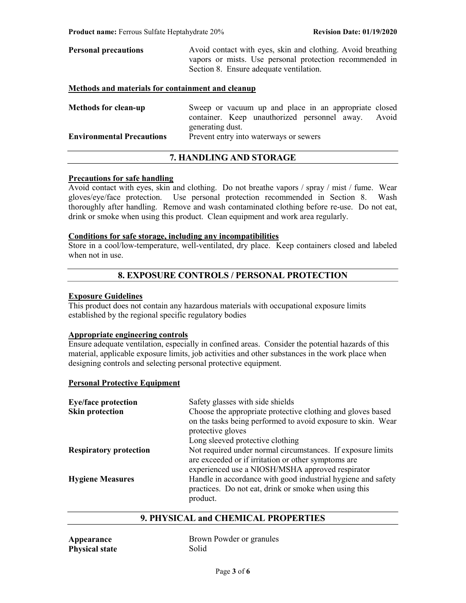| <b>Personal precautions</b>                       | Avoid contact with eyes, skin and clothing. Avoid breathing |  |  |
|---------------------------------------------------|-------------------------------------------------------------|--|--|
|                                                   | vapors or mists. Use personal protection recommended in     |  |  |
| Section 8. Ensure adequate ventilation.           |                                                             |  |  |
| Methods and materials for containment and cleanup |                                                             |  |  |

| <b>Methods for clean-up</b>      | Sweep or vacuum up and place in an appropriate closed |  |
|----------------------------------|-------------------------------------------------------|--|
|                                  | container. Keep unauthorized personnel away. Avoid    |  |
|                                  | generating dust.                                      |  |
| <b>Environmental Precautions</b> | Prevent entry into waterways or sewers                |  |

# 7. HANDLING AND STORAGE

## Precautions for safe handling

Avoid contact with eyes, skin and clothing. Do not breathe vapors / spray / mist / fume. Wear gloves/eye/face protection. Use personal protection recommended in Section 8. Wash thoroughly after handling. Remove and wash contaminated clothing before re-use. Do not eat, drink or smoke when using this product. Clean equipment and work area regularly.

## Conditions for safe storage, including any incompatibilities

Store in a cool/low-temperature, well-ventilated, dry place. Keep containers closed and labeled when not in use.

# 8. EXPOSURE CONTROLS / PERSONAL PROTECTION

## Exposure Guidelines

This product does not contain any hazardous materials with occupational exposure limits established by the regional specific regulatory bodies

## Appropriate engineering controls

Ensure adequate ventilation, especially in confined areas. Consider the potential hazards of this material, applicable exposure limits, job activities and other substances in the work place when designing controls and selecting personal protective equipment.

#### Personal Protective Equipment

| <b>Eye/face protection</b>    | Safety glasses with side shields                                                                                                                                       |
|-------------------------------|------------------------------------------------------------------------------------------------------------------------------------------------------------------------|
| <b>Skin protection</b>        | Choose the appropriate protective clothing and gloves based<br>on the tasks being performed to avoid exposure to skin. Wear<br>protective gloves                       |
|                               | Long sleeved protective clothing                                                                                                                                       |
| <b>Respiratory protection</b> | Not required under normal circumstances. If exposure limits<br>are exceeded or if irritation or other symptoms are<br>experienced use a NIOSH/MSHA approved respirator |
| <b>Hygiene Measures</b>       | Handle in accordance with good industrial hygiene and safety<br>practices. Do not eat, drink or smoke when using this<br>product.                                      |

# 9. PHYSICAL and CHEMICAL PROPERTIES

| Appearance            | Brown Powder or granules |
|-----------------------|--------------------------|
| <b>Physical state</b> | Solid                    |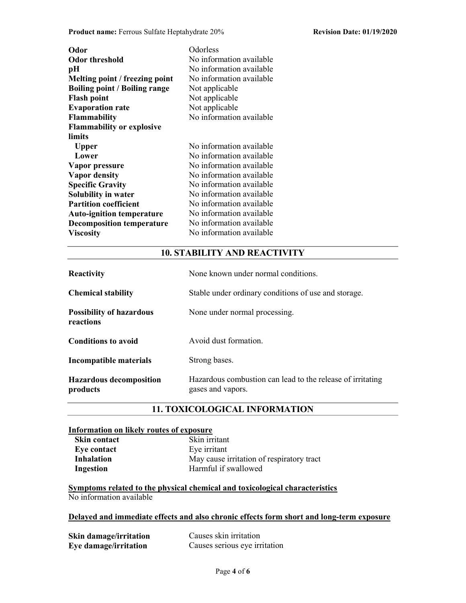Product name: Ferrous Sulfate Heptahydrate 20% Revision Date: 01/19/2020

| Odor                                 | Odorless                 |
|--------------------------------------|--------------------------|
| <b>Odor threshold</b>                | No information available |
| pН                                   | No information available |
| Melting point / freezing point       | No information available |
| <b>Boiling point / Boiling range</b> | Not applicable           |
| <b>Flash point</b>                   | Not applicable           |
| <b>Evaporation rate</b>              | Not applicable           |
| <b>Flammability</b>                  | No information available |
| <b>Flammability or explosive</b>     |                          |
| limits                               |                          |
| <b>Upper</b>                         | No information available |
| Lower                                | No information available |
| Vapor pressure                       | No information available |
| <b>Vapor density</b>                 | No information available |
| <b>Specific Gravity</b>              | No information available |
| Solubility in water                  | No information available |
| <b>Partition coefficient</b>         | No information available |
| <b>Auto-ignition temperature</b>     | No information available |
| <b>Decomposition temperature</b>     | No information available |
| <b>Viscosity</b>                     | No information available |

# 10. STABILITY AND REACTIVITY

| <b>Reactivity</b>                            | None known under normal conditions.                                             |  |
|----------------------------------------------|---------------------------------------------------------------------------------|--|
| <b>Chemical stability</b>                    | Stable under ordinary conditions of use and storage.                            |  |
| <b>Possibility of hazardous</b><br>reactions | None under normal processing.                                                   |  |
| <b>Conditions to avoid</b>                   | Avoid dust formation.                                                           |  |
| Incompatible materials                       | Strong bases.                                                                   |  |
| <b>Hazardous decomposition</b><br>products   | Hazardous combustion can lead to the release of irritating<br>gases and vapors. |  |

# 11. TOXICOLOGICAL INFORMATION

## Information on likely routes of exposure

| Skin contact      | Skin irritant |
|-------------------|---------------|
| Eye contact       | Eye irritant  |
| <b>Inhalation</b> | May cause ir  |
| Ingestion         | Harmful if sy |

| <b>Skin contact</b> | Skin irritant                             |
|---------------------|-------------------------------------------|
| Eve contact         | Eye irritant                              |
| Inhalation          | May cause irritation of respiratory tract |
| Ingestion           | Harmful if swallowed                      |
|                     |                                           |

Symptoms related to the physical chemical and toxicological characteristics No information available

# Delayed and immediate effects and also chronic effects form short and long-term exposure

| Skin damage/irritation | Causes skin irritation        |  |
|------------------------|-------------------------------|--|
| Eye damage/irritation  | Causes serious eye irritation |  |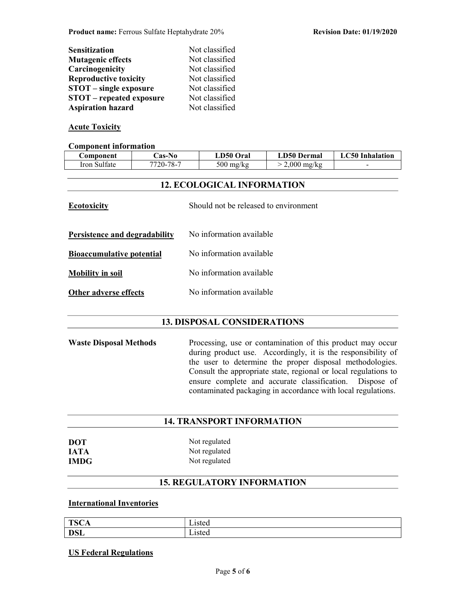| <b>Sensitization</b>            | Not classified |
|---------------------------------|----------------|
| <b>Mutagenic effects</b>        | Not classified |
| Carcinogenicity                 | Not classified |
| <b>Reproductive toxicity</b>    | Not classified |
| <b>STOT</b> – single exposure   | Not classified |
| <b>STOT</b> – repeated exposure | Not classified |
| <b>Aspiration hazard</b>        | Not classified |

# Acute Toxicity

#### Component information

| Component                                                   | Cas-No                                                    | LD50 Oral                | <b>LD50 Dermal</b> | <b>LC50</b> Inhalation |
|-------------------------------------------------------------|-----------------------------------------------------------|--------------------------|--------------------|------------------------|
| Iron Sulfate                                                | 7720-78-7                                                 | $500$ mg/kg              | $> 2,000$ mg/kg    |                        |
|                                                             |                                                           |                          |                    |                        |
| <b>12. ECOLOGICAL INFORMATION</b>                           |                                                           |                          |                    |                        |
| Should not be released to environment<br><b>Ecotoxicity</b> |                                                           |                          |                    |                        |
|                                                             | No information available<br>Persistence and degradability |                          |                    |                        |
| <b>Bioaccumulative potential</b>                            |                                                           | No information available |                    |                        |
| <b>Mobility in soil</b>                                     |                                                           | No information available |                    |                        |
|                                                             | No information available<br><b>Other adverse effects</b>  |                          |                    |                        |
|                                                             |                                                           |                          |                    |                        |

# 13. DISPOSAL CONSIDERATIONS

Waste Disposal Methods Processing, use or contamination of this product may occur during product use. Accordingly, it is the responsibility of the user to determine the proper disposal methodologies. Consult the appropriate state, regional or local regulations to ensure complete and accurate classification. Dispose of contaminated packaging in accordance with local regulations.

## 14. TRANSPORT INFORMATION

| DOT  |  |
|------|--|
| IATA |  |
| IMDG |  |

Not regulated Not regulated Not regulated

# 15. REGULATORY INFORMATION

# International Inventories

| TCC<br>⊥ல⊏்<br>◡▴ | 10ted<br>sicu   |
|-------------------|-----------------|
| <b>DSL</b>        | 10ted<br>∟ist∈u |

## US Federal Regulations